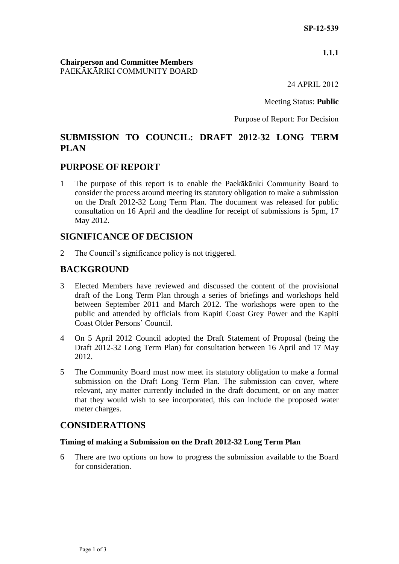#### **1.1.1**

#### **Chairperson and Committee Members** PAEKĀKĀRIKI COMMUNITY BOARD

24 APRIL 2012

Meeting Status: **Public**

Purpose of Report: For Decision

# **SUBMISSION TO COUNCIL: DRAFT 2012-32 LONG TERM PLAN**

### **PURPOSE OF REPORT**

1 The purpose of this report is to enable the Paekākāriki Community Board to consider the process around meeting its statutory obligation to make a submission on the Draft 2012-32 Long Term Plan. The document was released for public consultation on 16 April and the deadline for receipt of submissions is 5pm, 17 May 2012.

### **SIGNIFICANCE OF DECISION**

2 The Council's significance policy is not triggered.

# **BACKGROUND**

- 3 Elected Members have reviewed and discussed the content of the provisional draft of the Long Term Plan through a series of briefings and workshops held between September 2011 and March 2012. The workshops were open to the public and attended by officials from Kapiti Coast Grey Power and the Kapiti Coast Older Persons' Council.
- 4 On 5 April 2012 Council adopted the Draft Statement of Proposal (being the Draft 2012-32 Long Term Plan) for consultation between 16 April and 17 May 2012.
- 5 The Community Board must now meet its statutory obligation to make a formal submission on the Draft Long Term Plan. The submission can cover, where relevant, any matter currently included in the draft document, or on any matter that they would wish to see incorporated, this can include the proposed water meter charges.

# **CONSIDERATIONS**

#### **Timing of making a Submission on the Draft 2012-32 Long Term Plan**

6 There are two options on how to progress the submission available to the Board for consideration.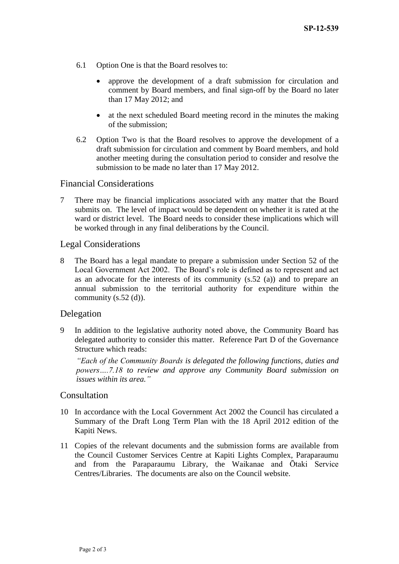- 6.1 Option One is that the Board resolves to:
	- approve the development of a draft submission for circulation and comment by Board members, and final sign-off by the Board no later than 17 May 2012; and
	- at the next scheduled Board meeting record in the minutes the making of the submission;
- 6.2 Option Two is that the Board resolves to approve the development of a draft submission for circulation and comment by Board members, and hold another meeting during the consultation period to consider and resolve the submission to be made no later than 17 May 2012.

### Financial Considerations

7 There may be financial implications associated with any matter that the Board submits on. The level of impact would be dependent on whether it is rated at the ward or district level. The Board needs to consider these implications which will be worked through in any final deliberations by the Council.

### Legal Considerations

8 The Board has a legal mandate to prepare a submission under Section 52 of the Local Government Act 2002. The Board's role is defined as to represent and act as an advocate for the interests of its community (s.52 (a)) and to prepare an annual submission to the territorial authority for expenditure within the community (s.52 (d)).

# Delegation

9 In addition to the legislative authority noted above, the Community Board has delegated authority to consider this matter. Reference Part D of the Governance Structure which reads:

*"Each of the Community Boards is delegated the following functions, duties and powers….7.18 to review and approve any Community Board submission on issues within its area."*

#### Consultation

- 10 In accordance with the Local Government Act 2002 the Council has circulated a Summary of the Draft Long Term Plan with the 18 April 2012 edition of the Kapiti News.
- 11 Copies of the relevant documents and the submission forms are available from the Council Customer Services Centre at Kapiti Lights Complex, Paraparaumu and from the Paraparaumu Library, the Waikanae and Ōtaki Service Centres/Libraries. The documents are also on the Council website.